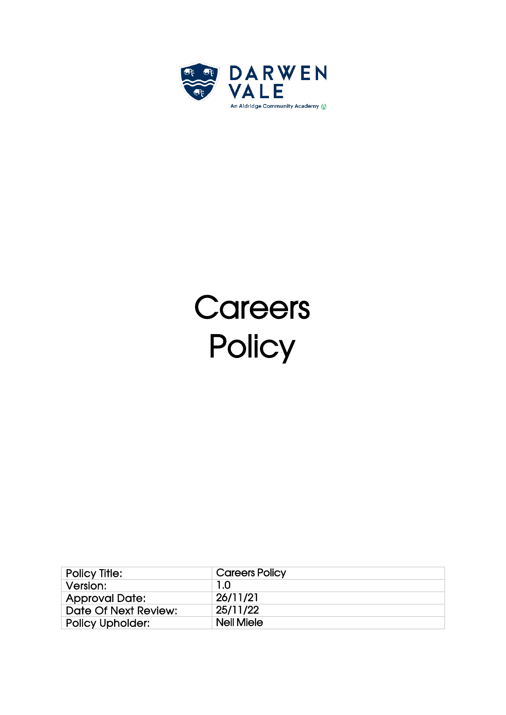

# **Careers Policy**

| <b>Policy Title:</b>    | <b>Careers Policy</b> |
|-------------------------|-----------------------|
| Version:                | 1.0                   |
| <b>Approval Date:</b>   | 26/11/21              |
| Date Of Next Review:    | 25/11/22              |
| <b>Policy Upholder:</b> | Neil Miele            |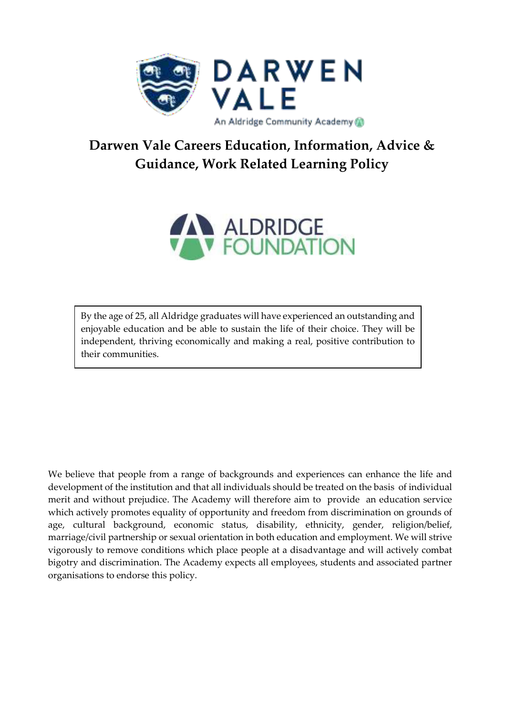

# **Darwen Vale Careers Education, Information, Advice & Guidance, Work Related Learning Policy**



By the age of 25, all Aldridge graduates will have experienced an outstanding and enjoyable education and be able to sustain the life of their choice. They will be independent, thriving economically and making a real, positive contribution to their communities.

We believe that people from a range of backgrounds and experiences can enhance the life and development of the institution and that all individuals should be treated on the basis of individual merit and without prejudice. The Academy will therefore aim to provide an education service which actively promotes equality of opportunity and freedom from discrimination on grounds of age, cultural background, economic status, disability, ethnicity, gender, religion/belief, marriage/civil partnership or sexual orientation in both education and employment. We will strive vigorously to remove conditions which place people at a disadvantage and will actively combat bigotry and discrimination. The Academy expects all employees, students and associated partner organisations to endorse this policy.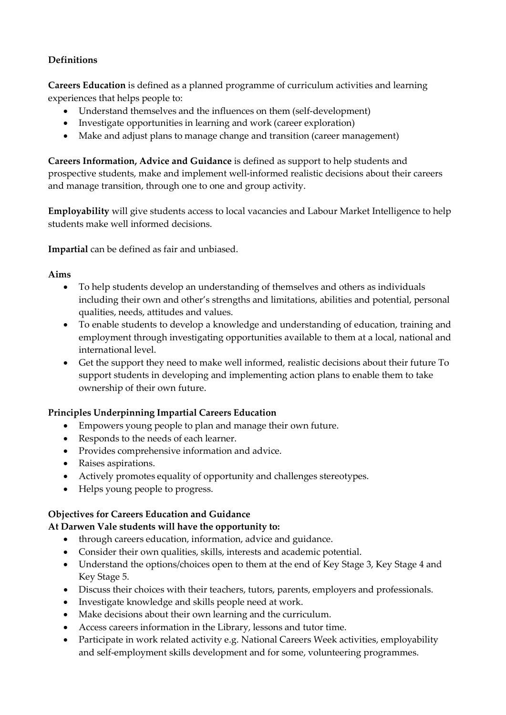# **Definitions**

**Careers Education** is defined as a planned programme of curriculum activities and learning experiences that helps people to:

- Understand themselves and the influences on them (self-development)
- Investigate opportunities in learning and work (career exploration)
- Make and adjust plans to manage change and transition (career management)

**Careers Information, Advice and Guidance** is defined as support to help students and prospective students, make and implement well-informed realistic decisions about their careers and manage transition, through one to one and group activity.

**Employability** will give students access to local vacancies and Labour Market Intelligence to help students make well informed decisions.

**Impartial** can be defined as fair and unbiased.

## **Aims**

- To help students develop an understanding of themselves and others as individuals including their own and other's strengths and limitations, abilities and potential, personal qualities, needs, attitudes and values.
- To enable students to develop a knowledge and understanding of education, training and employment through investigating opportunities available to them at a local, national and international level.
- Get the support they need to make well informed, realistic decisions about their future To support students in developing and implementing action plans to enable them to take ownership of their own future.

# **Principles Underpinning Impartial Careers Education**

- Empowers young people to plan and manage their own future.
- Responds to the needs of each learner.
- Provides comprehensive information and advice.
- Raises aspirations.
- Actively promotes equality of opportunity and challenges stereotypes.
- Helps young people to progress.

# **Objectives for Careers Education and Guidance**

#### **At Darwen Vale students will have the opportunity to:**

- through careers education, information, advice and guidance.
- Consider their own qualities, skills, interests and academic potential.
- Understand the options/choices open to them at the end of Key Stage 3, Key Stage 4 and Key Stage 5.
- Discuss their choices with their teachers, tutors, parents, employers and professionals.
- Investigate knowledge and skills people need at work.
- Make decisions about their own learning and the curriculum.
- Access careers information in the Library, lessons and tutor time.
- Participate in work related activity e.g. National Careers Week activities, employability and self-employment skills development and for some, volunteering programmes.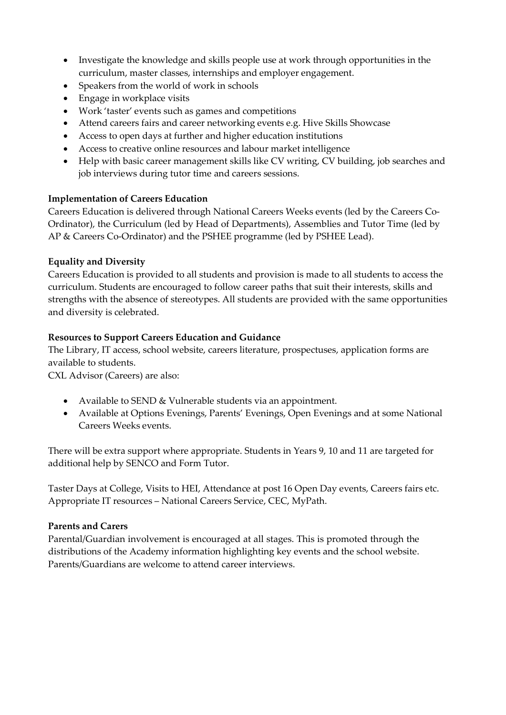- Investigate the knowledge and skills people use at work through opportunities in the curriculum, master classes, internships and employer engagement.
- Speakers from the world of work in schools
- Engage in workplace visits
- Work 'taster' events such as games and competitions
- Attend careers fairs and career networking events e.g. Hive Skills Showcase
- Access to open days at further and higher education institutions
- Access to creative online resources and labour market intelligence
- Help with basic career management skills like CV writing, CV building, job searches and job interviews during tutor time and careers sessions.

#### **Implementation of Careers Education**

Careers Education is delivered through National Careers Weeks events (led by the Careers Co-Ordinator), the Curriculum (led by Head of Departments), Assemblies and Tutor Time (led by AP & Careers Co-Ordinator) and the PSHEE programme (led by PSHEE Lead).

#### **Equality and Diversity**

Careers Education is provided to all students and provision is made to all students to access the curriculum. Students are encouraged to follow career paths that suit their interests, skills and strengths with the absence of stereotypes. All students are provided with the same opportunities and diversity is celebrated.

#### **Resources to Support Careers Education and Guidance**

The Library, IT access, school website, careers literature, prospectuses, application forms are available to students.

CXL Advisor (Careers) are also:

- Available to SEND & Vulnerable students via an appointment.
- Available at Options Evenings, Parents' Evenings, Open Evenings and at some National Careers Weeks events.

There will be extra support where appropriate. Students in Years 9, 10 and 11 are targeted for additional help by SENCO and Form Tutor.

Taster Days at College, Visits to HEI, Attendance at post 16 Open Day events, Careers fairs etc. Appropriate IT resources – National Careers Service, CEC, MyPath.

#### **Parents and Carers**

Parental/Guardian involvement is encouraged at all stages. This is promoted through the distributions of the Academy information highlighting key events and the school website. Parents/Guardians are welcome to attend career interviews.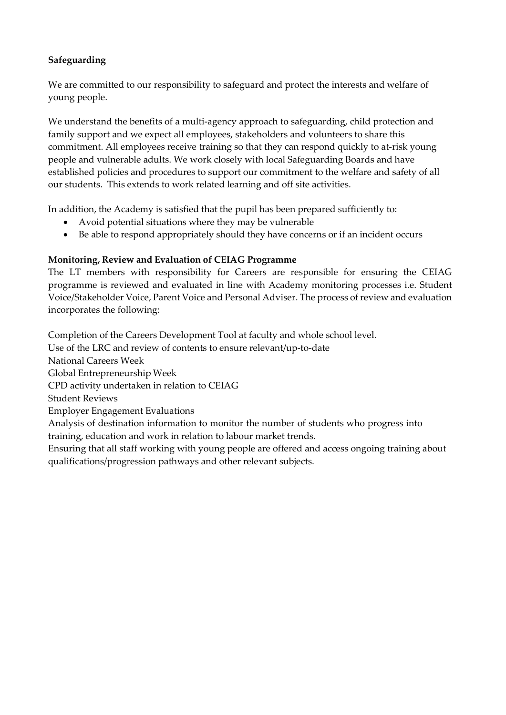# **Safeguarding**

We are committed to our responsibility to safeguard and protect the interests and welfare of young people.

We understand the benefits of a multi-agency approach to safeguarding, child protection and family support and we expect all employees, stakeholders and volunteers to share this commitment. All employees receive training so that they can respond quickly to at-risk young people and vulnerable adults. We work closely with local Safeguarding Boards and have established policies and procedures to support our commitment to the welfare and safety of all our students. This extends to work related learning and off site activities.

In addition, the Academy is satisfied that the pupil has been prepared sufficiently to:

- Avoid potential situations where they may be vulnerable
- Be able to respond appropriately should they have concerns or if an incident occurs

## **Monitoring, Review and Evaluation of CEIAG Programme**

The LT members with responsibility for Careers are responsible for ensuring the CEIAG programme is reviewed and evaluated in line with Academy monitoring processes i.e. Student Voice/Stakeholder Voice, Parent Voice and Personal Adviser. The process of review and evaluation incorporates the following:

Completion of the Careers Development Tool at faculty and whole school level.

Use of the LRC and review of contents to ensure relevant/up-to-date

National Careers Week

Global Entrepreneurship Week

CPD activity undertaken in relation to CEIAG

Student Reviews

Employer Engagement Evaluations

Analysis of destination information to monitor the number of students who progress into training, education and work in relation to labour market trends.

Ensuring that all staff working with young people are offered and access ongoing training about qualifications/progression pathways and other relevant subjects.